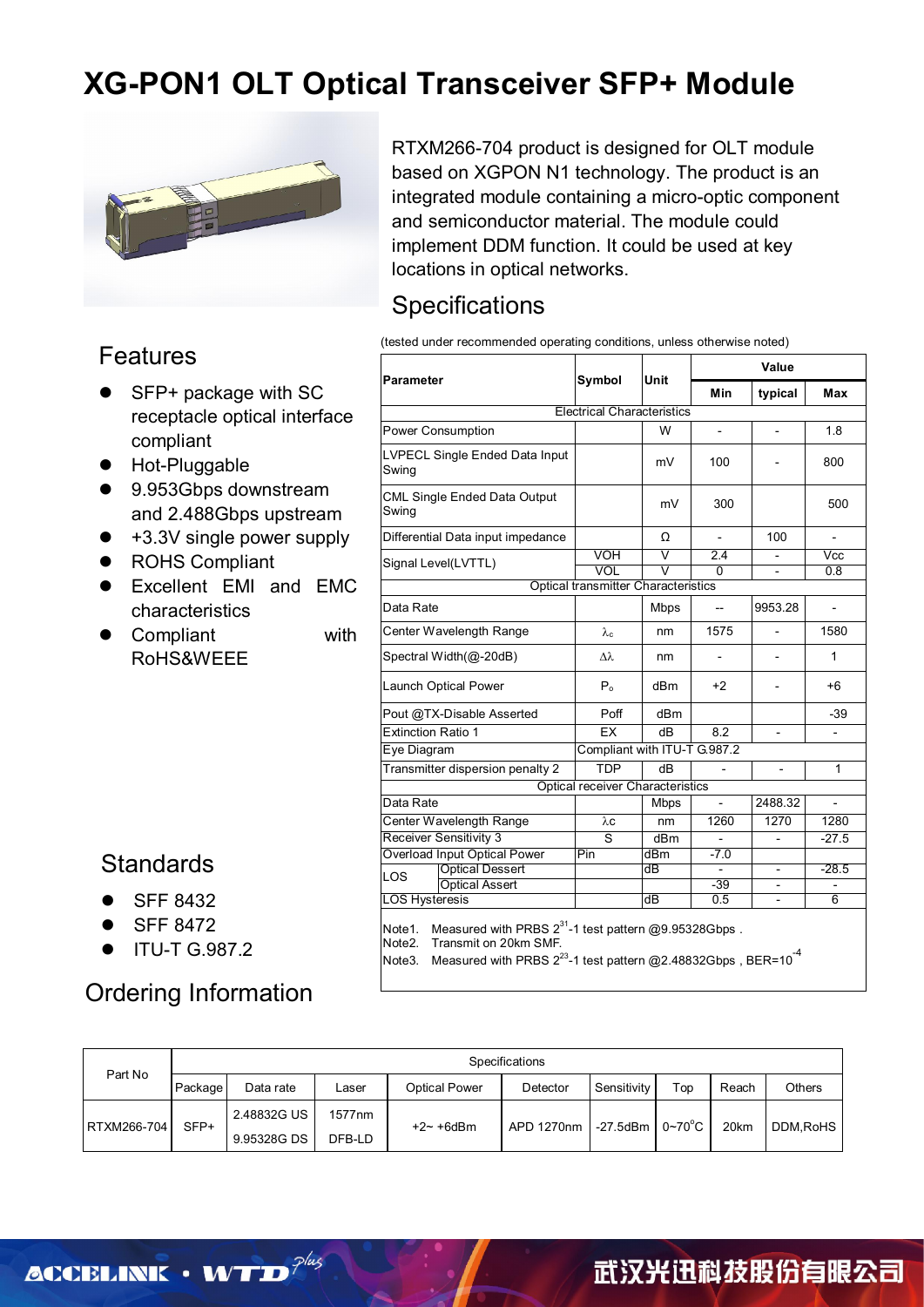## **XG-PON1 OLT Optical Transceiver SFP+ Module**



#### Features

- SFP+ package with SC receptacle optical interface compliant
- **•** Hot-Pluggable
- 9.953Gbps downstream and 2.488Gbps upstream
- +3.3V single power supply
- ROHS Compliant
- Excellent EMI and EMC characteristics
- Compliant with RoHS&WEEE

### **Standards**

- SFF 8432
- SFF 8472
- ITU-T G.987.2

## Ordering Information

RTXM266-704 product is designed for OLT module based on XGPON N1 technology. The product is an integrated module containing a micro-optic component and semiconductor material. The module could implement DDM function. It could be used at key locations in optical networks.

### **Specifications**

(tested under recommended operating conditions, unless otherwise noted)

|                                         |                                            |                         | Value                    |                          |                          |  |
|-----------------------------------------|--------------------------------------------|-------------------------|--------------------------|--------------------------|--------------------------|--|
| Parameter                               | Symbol                                     | <b>Unit</b>             | Min                      | typical                  | Max                      |  |
|                                         | <b>Electrical Characteristics</b>          |                         |                          |                          |                          |  |
| Power Consumption                       |                                            | W                       | $\overline{\phantom{a}}$ | $\overline{a}$           | 1.8                      |  |
| LVPECL Single Ended Data Input<br>Swing |                                            | mV                      | 100                      |                          | 800                      |  |
| CML Single Ended Data Output<br>Swing   |                                            | mV                      | 300                      |                          | 500                      |  |
| Differential Data input impedance       |                                            | Ω                       | $\overline{\phantom{a}}$ | 100                      |                          |  |
| Signal Level(LVTTL)                     | <b>VOH</b>                                 | $\overline{\mathsf{v}}$ | 2.4                      | $\overline{a}$           | Vcc                      |  |
|                                         | VOL                                        | V                       | 0                        | $\overline{a}$           | 0.8                      |  |
|                                         | <b>Optical transmitter Characteristics</b> |                         |                          |                          |                          |  |
| Data Rate                               |                                            | <b>Mbps</b>             |                          | 9953.28                  |                          |  |
| Center Wavelength Range                 | $\lambda_c$                                | nm                      | 1575                     |                          | 1580                     |  |
| Spectral Width(@-20dB)                  | Δλ                                         | nm                      |                          |                          | 1                        |  |
| Launch Optical Power                    | P <sub>o</sub>                             | dBm                     | $+2$                     | $\overline{\phantom{m}}$ | +6                       |  |
| Pout @TX-Disable Asserted               | Poff                                       | dBm                     |                          |                          | $-39$                    |  |
| <b>Extinction Ratio 1</b>               | EX                                         | dB                      | 8.2                      | $\overline{a}$           | $\overline{\phantom{a}}$ |  |
| Eye Diagram                             | Compliant with ITU-T G.987.2               |                         |                          |                          |                          |  |
| Transmitter dispersion penalty 2        | <b>TDP</b>                                 | dB                      |                          | $\overline{\phantom{0}}$ | 1                        |  |
|                                         | <b>Optical receiver Characteristics</b>    |                         |                          |                          |                          |  |
| Data Rate                               |                                            | <b>Mbps</b>             |                          | 2488.32                  |                          |  |
| Center Wavelength Range                 | λc                                         | nm                      | 1260                     | 1270                     | 1280                     |  |
| <b>Receiver Sensitivity 3</b>           | S                                          | dBm                     |                          |                          | $-27.5$                  |  |
| Overload Input Optical Power            | Pin                                        | dBm                     | $-7.0$                   |                          |                          |  |
| <b>Optical Dessert</b><br>LOS           |                                            | dВ                      |                          | $\overline{\phantom{0}}$ | $-28.5$                  |  |
| <b>Optical Assert</b>                   |                                            |                         | $-39$                    |                          |                          |  |
| <b>LOS Hysteresis</b>                   |                                            | dB                      | 0.5                      |                          | 6                        |  |

|             | Specifications |             |               |               |          |                                            |     |       |               |
|-------------|----------------|-------------|---------------|---------------|----------|--------------------------------------------|-----|-------|---------------|
| Part No     | Package        | Data rate   | ∟aser         | Optical Power | Detector | Sensitivity                                | Top | Reach | <b>Others</b> |
|             | SFP+           | 2.48832G US | 1577nm        |               |          | $-27.5$ dBm $\sqrt{0}$ 0~70 <sup>°</sup> C |     | 20km  | DDM.RoHS      |
| RTXM266-704 | 9.95328G DS    | DFB-LD      | $+2 - +6$ dBm | APD 1270nm    |          |                                            |     |       |               |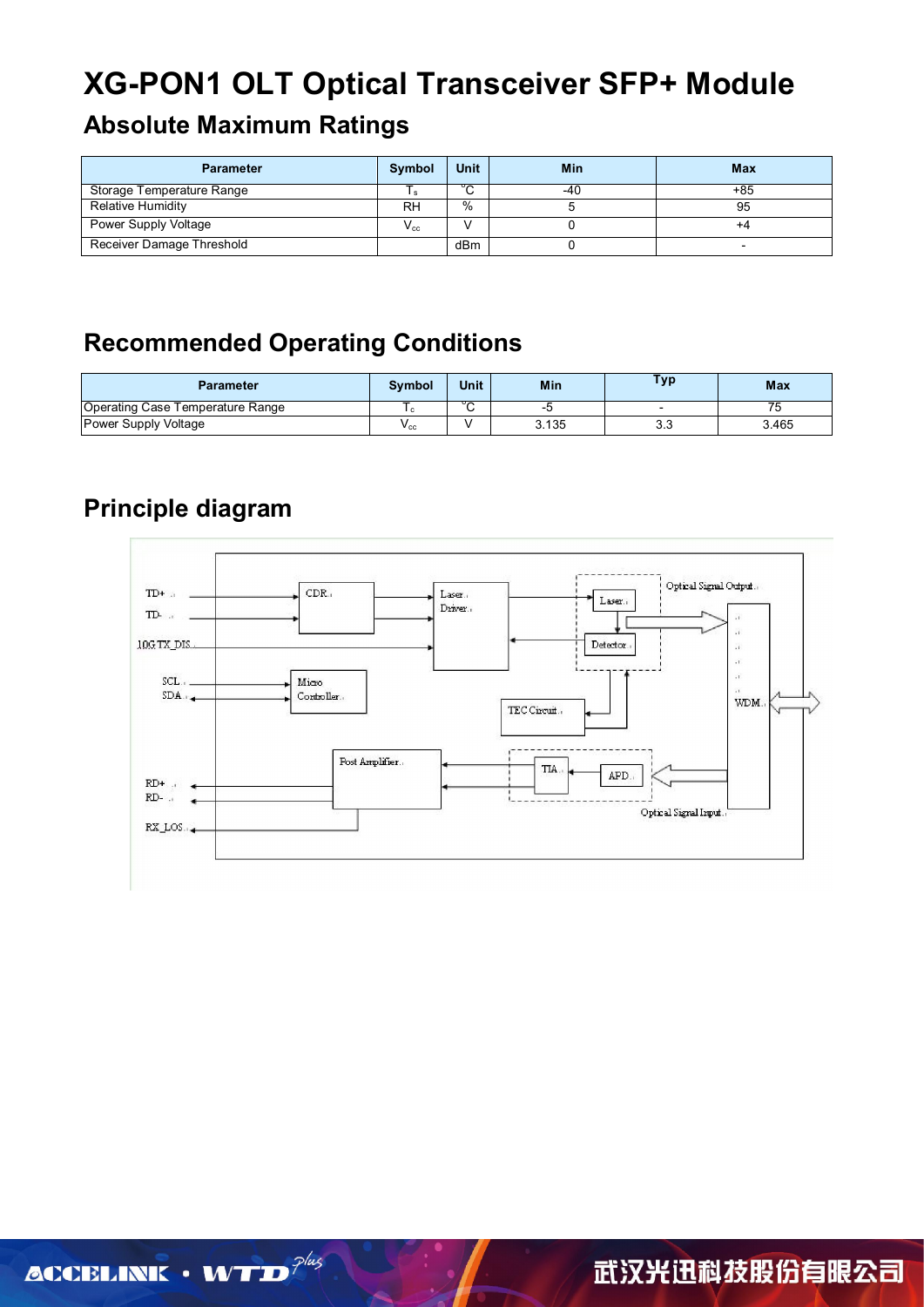# **XG-PON1 OLT Optical Transceiver SFP+ Module**

## **Absolute Maximum Ratings**

| <b>Parameter</b>          | Symbol    | <b>Unit</b> | Min | Max |
|---------------------------|-----------|-------------|-----|-----|
| Storage Temperature Range |           | ∘           | -40 | +85 |
| Relative Humidity         | <b>RH</b> | $\%$        |     | 95  |
| Power Supply Voltage      | $V_{cc}$  |             |     | +4  |
| Receiver Damage Threshold |           | dBm         |     |     |

## **Recommended Operating Conditions**

| Parameter                        | Symbol       | <b>Unit</b>  | Min   | Fyp       | <b>Max</b> |
|----------------------------------|--------------|--------------|-------|-----------|------------|
| Operating Case Temperature Range |              | $\circ$<br>◡ |       |           |            |
| Power Supply Voltage             | $v_{\rm CC}$ |              | 3.135 | າາ<br>ა.ა | 3.465      |

## **Principle diagram**